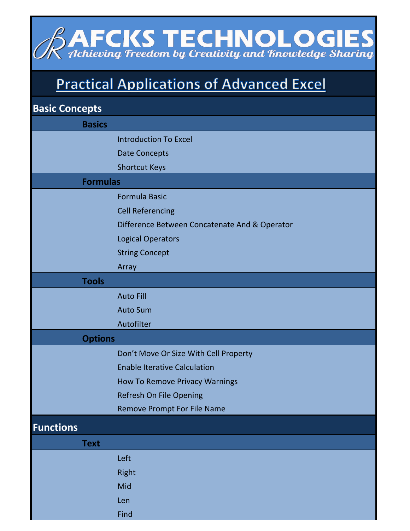## **AFCKS TECHNOLOGIES**<br>Achieving Freedom by Creativity and Knowledge Sharing

## **Practical Applications of Advanced Excel**

| <b>Basic Concepts</b> |                                               |
|-----------------------|-----------------------------------------------|
| <b>Basics</b>         |                                               |
|                       | <b>Introduction To Excel</b>                  |
|                       | <b>Date Concepts</b>                          |
|                       | <b>Shortcut Keys</b>                          |
| <b>Formulas</b>       |                                               |
|                       | <b>Formula Basic</b>                          |
|                       | <b>Cell Referencing</b>                       |
|                       | Difference Between Concatenate And & Operator |
|                       | <b>Logical Operators</b>                      |
|                       | <b>String Concept</b>                         |
|                       | Array                                         |
| <b>Tools</b>          |                                               |
|                       | <b>Auto Fill</b>                              |
|                       | <b>Auto Sum</b>                               |
|                       | Autofilter                                    |
| <b>Options</b>        |                                               |
|                       | Don't Move Or Size With Cell Property         |
|                       | <b>Enable Iterative Calculation</b>           |
|                       | <b>How To Remove Privacy Warnings</b>         |
|                       | Refresh On File Opening                       |
|                       | Remove Prompt For File Name                   |
| <b>Functions</b>      |                                               |
| <b>Text</b>           |                                               |
|                       | Left                                          |
|                       | Right                                         |
|                       | Mid                                           |
|                       | Len                                           |
|                       | Find                                          |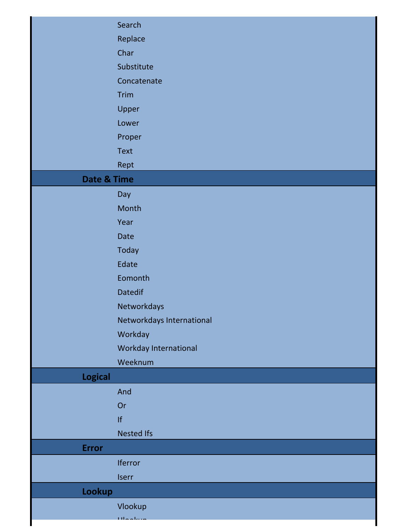|                | Search                    |
|----------------|---------------------------|
|                | Replace                   |
|                | Char                      |
|                | Substitute                |
|                | Concatenate               |
|                | <b>Trim</b>               |
|                | Upper                     |
|                | Lower                     |
|                | Proper                    |
|                | Text                      |
|                | Rept                      |
| Date & Time    |                           |
|                | Day                       |
|                | Month                     |
|                | Year                      |
|                | Date                      |
|                | Today                     |
|                | Edate                     |
|                | Eomonth                   |
|                | <b>Datedif</b>            |
|                | Networkdays               |
|                | Networkdays International |
|                | Workday                   |
|                | Workday International     |
|                | Weeknum                   |
| <b>Logical</b> |                           |
|                | And                       |
|                | Or                        |
|                | f                         |
|                | <b>Nested Ifs</b>         |
| <b>Error</b>   |                           |
|                | Iferror                   |
|                | <b>Iserr</b>              |
| Lookup         |                           |
|                | Vlookup                   |
|                | وبالمرماليا               |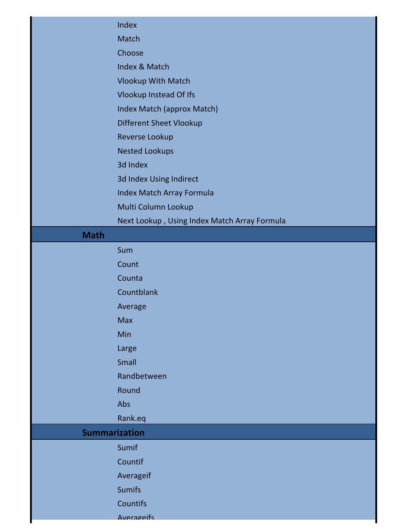|             | Index                                        |
|-------------|----------------------------------------------|
|             | Match                                        |
|             | Choose                                       |
|             | Index & Match                                |
|             | Vlookup With Match                           |
|             | <b>Vlookup Instead Of Ifs</b>                |
|             | Index Match (approx Match)                   |
|             | <b>Different Sheet Vlookup</b>               |
|             | Reverse Lookup                               |
|             | <b>Nested Lookups</b>                        |
|             | 3d Index                                     |
|             | 3d Index Using Indirect                      |
|             | Index Match Array Formula                    |
|             | Multi Column Lookup                          |
|             | Next Lookup, Using Index Match Array Formula |
| <b>Math</b> |                                              |
|             | Sum                                          |
|             | Count                                        |
|             | Counta                                       |
|             | Countblank                                   |
|             | Average                                      |
|             | <b>Max</b>                                   |
|             | Min                                          |
|             | Large                                        |
|             | Small                                        |
|             | Randbetween                                  |
|             | Round                                        |
|             | Abs                                          |
|             | Rank.eq                                      |
|             | <b>Summarization</b>                         |
|             | Sumif                                        |
|             | Countif                                      |
|             | Averageif                                    |
|             | <b>Sumifs</b>                                |
|             | Countifs                                     |
|             |                                              |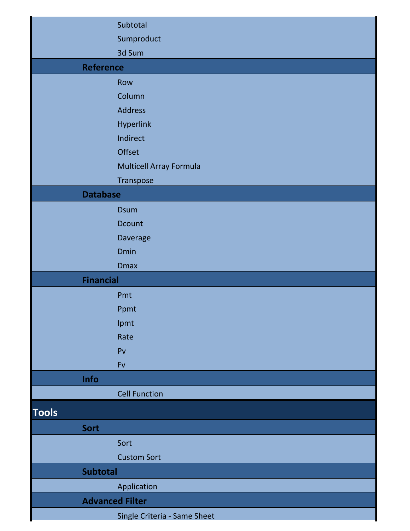|                  | Subtotal                     |
|------------------|------------------------------|
|                  | Sumproduct                   |
|                  | 3d Sum                       |
| <b>Reference</b> |                              |
|                  | Row                          |
|                  | Column                       |
|                  | <b>Address</b>               |
|                  | Hyperlink                    |
|                  | Indirect                     |
|                  | Offset                       |
|                  | Multicell Array Formula      |
|                  | Transpose                    |
| <b>Database</b>  |                              |
|                  | <b>Dsum</b>                  |
|                  | Dcount                       |
|                  | Daverage                     |
|                  | Dmin                         |
|                  | <b>Dmax</b>                  |
| <b>Financial</b> |                              |
|                  | Pmt                          |
|                  | Ppmt                         |
|                  | Ipmt                         |
|                  | Rate                         |
|                  | P <sub>V</sub>               |
|                  | Fv                           |
| Info             |                              |
|                  | <b>Cell Function</b>         |
| <b>Tools</b>     |                              |
| Sort             |                              |
|                  | Sort                         |
|                  | <b>Custom Sort</b>           |
| <b>Subtotal</b>  |                              |
|                  | Application                  |
|                  | <b>Advanced Filter</b>       |
|                  | Single Criteria - Same Sheet |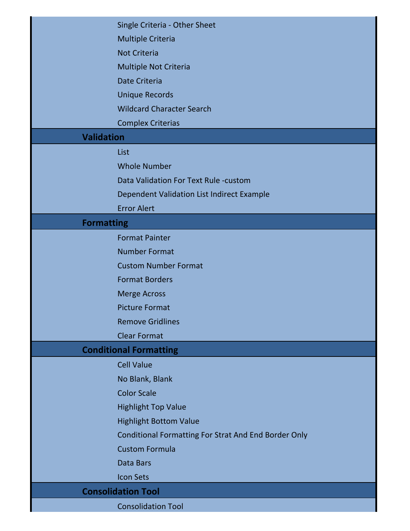|                           | Single Criteria - Other Sheet                               |
|---------------------------|-------------------------------------------------------------|
|                           | <b>Multiple Criteria</b>                                    |
|                           | <b>Not Criteria</b>                                         |
|                           | Multiple Not Criteria                                       |
|                           | Date Criteria                                               |
|                           | <b>Unique Records</b>                                       |
|                           | <b>Wildcard Character Search</b>                            |
|                           | <b>Complex Criterias</b>                                    |
| <b>Validation</b>         |                                                             |
|                           | List                                                        |
|                           | <b>Whole Number</b>                                         |
|                           | Data Validation For Text Rule -custom                       |
|                           | Dependent Validation List Indirect Example                  |
|                           | <b>Error Alert</b>                                          |
| <b>Formatting</b>         |                                                             |
|                           | <b>Format Painter</b>                                       |
|                           | <b>Number Format</b>                                        |
|                           | <b>Custom Number Format</b>                                 |
|                           | <b>Format Borders</b>                                       |
|                           | <b>Merge Across</b>                                         |
|                           | <b>Picture Format</b>                                       |
|                           | <b>Remove Gridlines</b>                                     |
|                           | <b>Clear Format</b>                                         |
|                           | <b>Conditional Formatting</b>                               |
|                           | <b>Cell Value</b>                                           |
|                           | No Blank, Blank                                             |
|                           | <b>Color Scale</b>                                          |
|                           | <b>Highlight Top Value</b>                                  |
|                           | <b>Highlight Bottom Value</b>                               |
|                           | <b>Conditional Formatting For Strat And End Border Only</b> |
|                           | <b>Custom Formula</b>                                       |
|                           | Data Bars                                                   |
|                           | <b>Icon Sets</b>                                            |
| <b>Consolidation Tool</b> |                                                             |
|                           | <b>Consolidation Tool</b>                                   |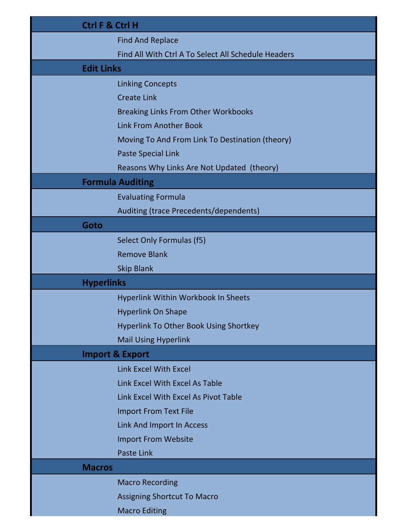| <b>Ctrl F &amp; Ctrl H</b> |                                                     |
|----------------------------|-----------------------------------------------------|
|                            | <b>Find And Replace</b>                             |
|                            | Find All With Ctrl A To Select All Schedule Headers |
| <b>Edit Links</b>          |                                                     |
|                            | <b>Linking Concepts</b>                             |
|                            | <b>Create Link</b>                                  |
|                            | <b>Breaking Links From Other Workbooks</b>          |
|                            | <b>Link From Another Book</b>                       |
|                            | Moving To And From Link To Destination (theory)     |
|                            | <b>Paste Special Link</b>                           |
|                            | Reasons Why Links Are Not Updated (theory)          |
|                            | <b>Formula Auditing</b>                             |
|                            | <b>Evaluating Formula</b>                           |
|                            | Auditing (trace Precedents/dependents)              |
| Goto                       |                                                     |
|                            | Select Only Formulas (f5)                           |
|                            | <b>Remove Blank</b>                                 |
|                            | <b>Skip Blank</b>                                   |
| <b>Hyperlinks</b>          |                                                     |
|                            | Hyperlink Within Workbook In Sheets                 |
|                            | <b>Hyperlink On Shape</b>                           |
|                            | <b>Hyperlink To Other Book Using Shortkey</b>       |
|                            | <b>Mail Using Hyperlink</b>                         |
|                            | <b>Import &amp; Export</b>                          |
|                            | <b>Link Excel With Excel</b>                        |
|                            | Link Excel With Excel As Table                      |
|                            | Link Excel With Excel As Pivot Table                |
|                            | <b>Import From Text File</b>                        |
|                            | Link And Import In Access                           |
|                            | <b>Import From Website</b>                          |
|                            | <b>Paste Link</b>                                   |
| <b>Macros</b>              |                                                     |
|                            | <b>Macro Recording</b>                              |
|                            | <b>Assigning Shortcut To Macro</b>                  |
|                            | <b>Macro Editing</b>                                |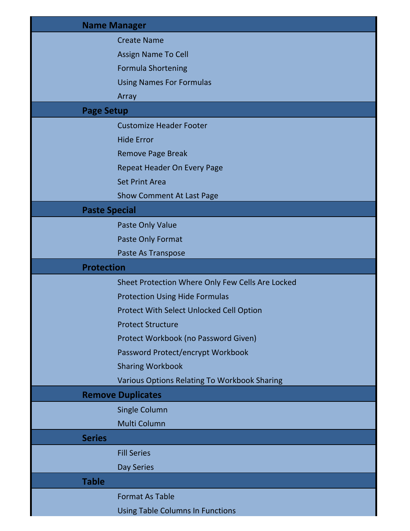|                      | <b>Name Manager</b>                              |
|----------------------|--------------------------------------------------|
|                      | <b>Create Name</b>                               |
|                      | <b>Assign Name To Cell</b>                       |
|                      | <b>Formula Shortening</b>                        |
|                      | <b>Using Names For Formulas</b>                  |
|                      | Array                                            |
| <b>Page Setup</b>    |                                                  |
|                      | <b>Customize Header Footer</b>                   |
|                      | <b>Hide Error</b>                                |
|                      | <b>Remove Page Break</b>                         |
|                      | <b>Repeat Header On Every Page</b>               |
|                      | <b>Set Print Area</b>                            |
|                      | <b>Show Comment At Last Page</b>                 |
| <b>Paste Special</b> |                                                  |
|                      | Paste Only Value                                 |
|                      | Paste Only Format                                |
|                      | Paste As Transpose                               |
| <b>Protection</b>    |                                                  |
|                      | Sheet Protection Where Only Few Cells Are Locked |
|                      | <b>Protection Using Hide Formulas</b>            |
|                      | <b>Protect With Select Unlocked Cell Option</b>  |
|                      | <b>Protect Structure</b>                         |
|                      | Protect Workbook (no Password Given)             |
|                      | Password Protect/encrypt Workbook                |
|                      | <b>Sharing Workbook</b>                          |
|                      | Various Options Relating To Workbook Sharing     |
|                      | <b>Remove Duplicates</b>                         |
|                      | <b>Single Column</b>                             |
|                      | Multi Column                                     |
| <b>Series</b>        |                                                  |
|                      | <b>Fill Series</b>                               |
|                      | Day Series                                       |
| <b>Table</b>         |                                                  |
|                      | <b>Format As Table</b>                           |
|                      | <b>Using Table Columns In Functions</b>          |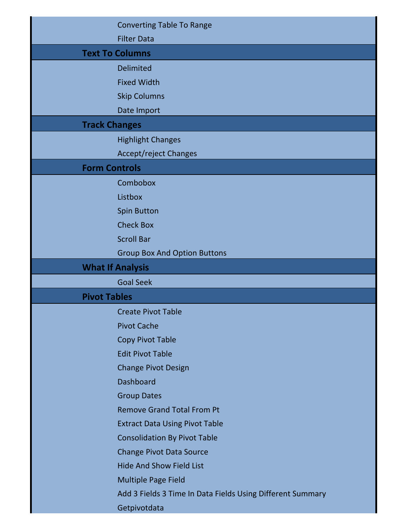|                     | <b>Converting Table To Range</b>                           |
|---------------------|------------------------------------------------------------|
|                     | <b>Filter Data</b>                                         |
|                     | <b>Text To Columns</b>                                     |
|                     | <b>Delimited</b>                                           |
|                     | <b>Fixed Width</b>                                         |
|                     | <b>Skip Columns</b>                                        |
|                     | Date Import                                                |
|                     | <b>Track Changes</b>                                       |
|                     | <b>Highlight Changes</b>                                   |
|                     | Accept/reject Changes                                      |
|                     | <b>Form Controls</b>                                       |
|                     | Combobox                                                   |
|                     | Listbox                                                    |
|                     | <b>Spin Button</b>                                         |
|                     | <b>Check Box</b>                                           |
|                     | <b>Scroll Bar</b>                                          |
|                     | <b>Group Box And Option Buttons</b>                        |
|                     | <b>What If Analysis</b>                                    |
|                     |                                                            |
|                     | <b>Goal Seek</b>                                           |
| <b>Pivot Tables</b> |                                                            |
|                     | <b>Create Pivot Table</b>                                  |
|                     | <b>Pivot Cache</b>                                         |
|                     | <b>Copy Pivot Table</b>                                    |
|                     | <b>Edit Pivot Table</b>                                    |
|                     | <b>Change Pivot Design</b>                                 |
|                     | <b>Dashboard</b>                                           |
|                     | <b>Group Dates</b>                                         |
|                     | <b>Remove Grand Total From Pt</b>                          |
|                     | <b>Extract Data Using Pivot Table</b>                      |
|                     | <b>Consolidation By Pivot Table</b>                        |
|                     | <b>Change Pivot Data Source</b>                            |
|                     | <b>Hide And Show Field List</b>                            |
|                     | Multiple Page Field                                        |
|                     | Add 3 Fields 3 Time In Data Fields Using Different Summary |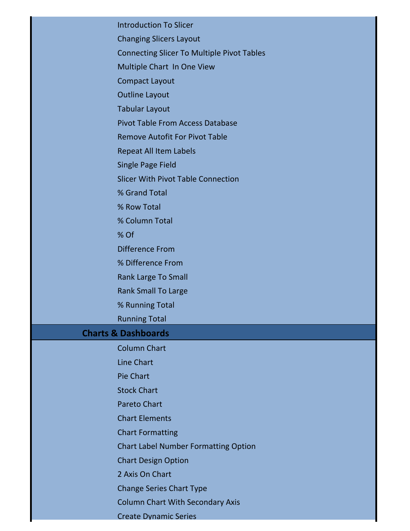Introduction To Slicer Changing Slicers Layout Connecting Slicer To Multiple Pivot Tables Multiple Chart In One View Compact Layout Outline Layout Tabular Layout Pivot Table From Access Database Remove Autofit For Pivot Table Repeat All Item Labels Single Page Field Slicer With Pivot Table Connection % Grand Total % Row Total % Column Total % Of Difference From % Difference From Rank Large To Small Rank Small To Large % Running Total Running Total **Charts & Dashboards** Column Chart Line Chart Pie Chart Stock Chart Pareto Chart Chart Elements Chart Formatting Chart Label Number Formatting Option Chart Design Option 2 Axis On Chart Change Series Chart Type Column Chart With Secondary Axis Create Dynamic Series